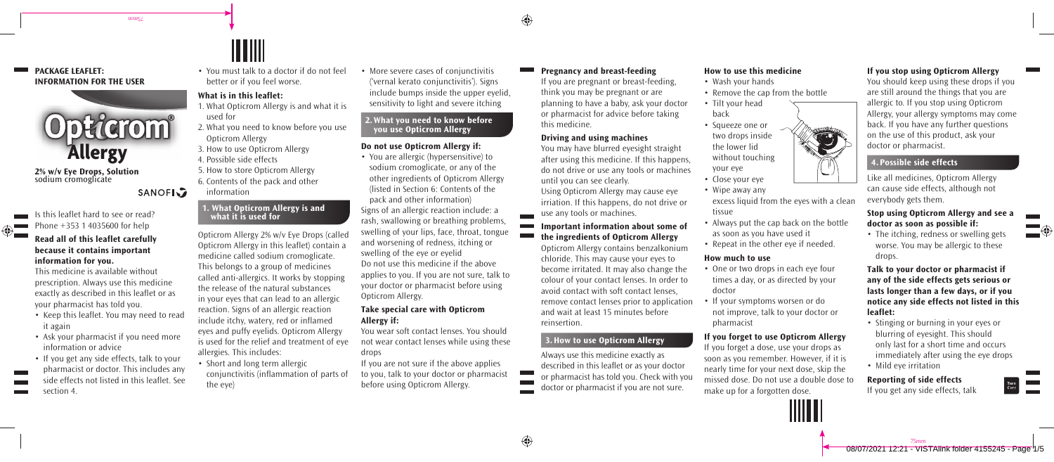↔

⊕

## **PACKAGE LEAFLET: INFORMATION FOR THE USER**



tutus/

**2% w/v Eye Drops, Solution** sodium cromoglicate

## **SANOFI**<sub>2</sub>

Is this leaflet hard to see or read? Phone  $+353$  1 4035600 for help

#### **Read all of this leaflet carefully because it contains important information for you.**

This medicine is available without prescription. Always use this medicine exactly as described in this leaflet or as your pharmacist has told you.

- Keep this leaflet. You may need to read it again
- Ask your pharmacist if you need more information or advice
- If you get any side effects, talk to your pharmacist or doctor. This includes any side effects not listed in this leaflet. See section 4.

• You must talk to a doctor if do not feel better or if you feel worse.

IIII

## **What is in this leaflet:**

- 1. What Opticrom Allergy is and what it is used for
- 2. What you need to know before you use Opticrom Allergy
- 3. How to use Opticrom Allergy
- 4. Possible side effects
- 5. How to store Opticrom Allergy
- 6. Contents of the pack and other

# information

## **1. What Opticrom Allergy is and what it is used for**

Opticrom Allergy 2% w/v Eye Drops (called Opticrom Allergy in this leaflet) contain a medicine called sodium cromoglicate. This belongs to a group of medicines called anti-allergics. It works by stopping the release of the natural substances in your eyes that can lead to an allergic reaction. Signs of an allergic reaction include itchy, watery, red or inflamed eyes and puffy eyelids. Opticrom Allergy is used for the relief and treatment of eye allergies. This includes:

• Short and long term allergic conjunctivitis (inflammation of parts of the eye)

• More severe cases of conjunctivitis ('vernal kerato conjunctivitis'). Signs include bumps inside the upper eyelid, sensitivity to light and severe itching

#### **2. What you need to know before you use Opticrom Allergy**

#### **Do not use Opticrom Allergy if:**

• You are allergic (hypersensitive) to sodium cromoglicate, or any of the other ingredients of Opticrom Allergy (listed in Section 6: Contents of the pack and other information) Signs of an allergic reaction include: a rash, swallowing or breathing problems, swelling of your lips, face, throat, tongue and worsening of redness, itching or swelling of the eye or eyelid Do not use this medicine if the above applies to you. If you are not sure, talk to your doctor or pharmacist before using Opticrom Allergy. Example state and the process are the content of the margins of the and allergy and the margins of the state of the state of the state of the state of the state of the state of the state of the state of the state of the st

### **Take special care with Opticrom Allergy if:**

You wear soft contact lenses. You should not wear contact lenses while using these drops

If you are not sure if the above applies to you, talk to your doctor or pharmacist before using Opticrom Allergy.

**Pregnancy and breast-feeding** If you are pregnant or breast-feeding, think you may be pregnant or are planning to have a baby, ask your doctor or pharmacist for advice before taking this medicine.

#### **Driving and using machines**

You may have blurred eyesight straight after using this medicine. If this happens, do not drive or use any tools or machines until you can see clearly.

Using Opticrom Allergy may cause eye irriation. If this happens, do not drive or use any tools or machines.

**Important information about some of the ingredients of Opticrom Allergy**

Opticrom Allergy contains benzalkonium chloride. This may cause your eyes to become irritated. It may also change the colour of your contact lenses. In order to avoid contact with soft contact lenses, remove contact lenses prior to application and wait at least 15 minutes before reinsertion.

#### **3. How to use Opticrom Allergy**

Always use this medicine exactly as described in this leaflet or as your doctor or pharmacist has told you. Check with you doctor or pharmacist if you are not sure.

## **How to use this medicine**

- Wash your hands
- Remove the cap from the bottle
- Tilt your head back
- Squeeze one or two drops inside the lower lid without touching your eye
- Close your eye
- Wipe away any
- excess liquid from the eyes with a clean tissue
- Always put the cap back on the bottle as soon as you have used it
- Repeat in the other eye if needed.

#### **How much to use**

- One or two drops in each eye four times a day, or as directed by your doctor
- If your symptoms worsen or do not improve, talk to your doctor or pharmacist

#### **If you forget to use Opticrom Allergy**

If you forget a dose, use your drops as soon as you remember. However, if it is nearly time for your next dose, skip the missed dose. Do not use a double dose to make up for a forgotten dose.

#### **If you stop using Opticrom Allergy**

You should keep using these drops if you are still around the things that you are allergic to. If you stop using Opticrom Allergy, your allergy symptoms may come back. If you have any further questions on the use of this product, ask your doctor or pharmacist.

Like all medicines, Opticrom Allergy can cause side effects, although not everybody gets them.

#### **Stop using Opticrom Allergy and see a doctor as soon as possible if:**

• The itching, redness or swelling gets worse. You may be allergic to these drops.

**Talk to your doctor or pharmacist if any of the side effects gets serious or lasts longer than a few days, or if you notice any side effects not listed in this leaflet:**

- Stinging or burning in your eyes or blurring of eyesight. This should only last for a short time and occurs immediately after using the eye drops
- Mild eye irritation

**Reporting of side effects** If you get any side effects, talk



08/07/2021 12:21 - VISTAlink folder 4155245 - Page 1/5 75mm

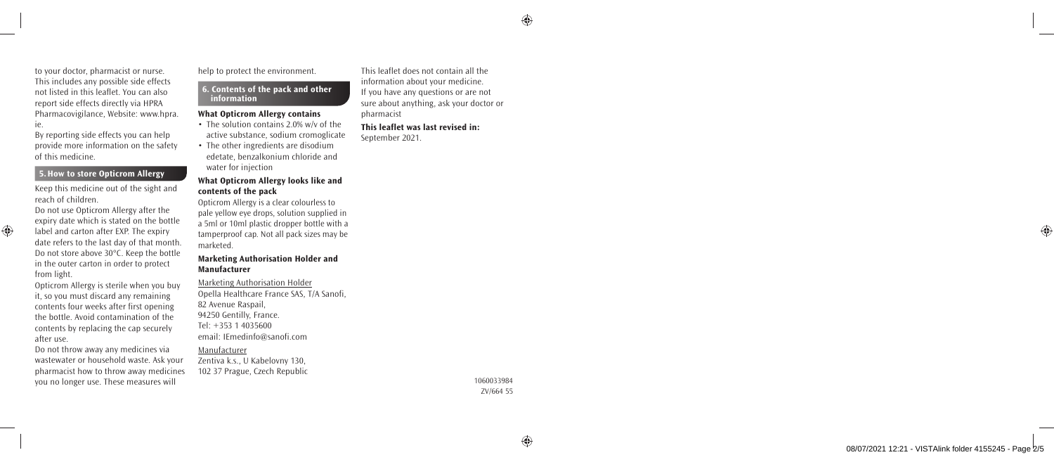⊕

to your doctor, pharmacist or nurse. This includes any possible side effects not listed in this leaflet. You can also report side effects directly via HPRA Pharmacovigilance, Website: www.hpra. ie.

By reporting side effects you can help provide more information on the safety of this medicine.

#### **5. How to store Opticrom Allergy**

Keep this medicine out of the sight and reach of children.

Do not use Opticrom Allergy after the expiry date which is stated on the bottle label and carton after EXP. The expiry date refers to the last day of that month. Do not store above 30°C. Keep the bottle in the outer carton in order to protect from light.

⊕

Opticrom Allergy is sterile when you buy it, so you must discard any remaining contents four weeks after first opening the bottle. Avoid contamination of the contents by replacing the cap securely after use.

Do not throw away any medicines via wastewater or household waste. Ask your pharmacist how to throw away medicines you no longer use. These measures will

help to protect the environment.

#### **6. Contents of the pack and other information**

#### **What Opticrom Allergy contains**

- The solution contains 2.0% w/v of the active substance, sodium cromoglicate
- The other ingredients are disodium edetate, benzalkonium chloride and water for injection

#### **What Opticrom Allergy looks like and contents of the pack**

Opticrom Allergy is a clear colourless to pale yellow eye drops, solution supplied in a 5ml or 10ml plastic dropper bottle with a tamperproof cap. Not all pack sizes may be marketed.

#### **Marketing Authorisation Holder and Manufacturer**

Marketing Authorisation Holder Opella Healthcare France SAS, T/A Sanofi, 82 Avenue Raspail, 94250 Gentilly, France. Tel: +353 1 4035600 email: IEmedinfo@sanofi.com

Manufacturer Zentiva k.s., U Kabelovny 130, 102 37 Prague, Czech Republic This leaflet does not contain all the information about your medicine. If you have any questions or are not sure about anything, ask your doctor or pharmacist

**This leaflet was last revised in:** September 2021.

◈

1060033984 ZV/664 55